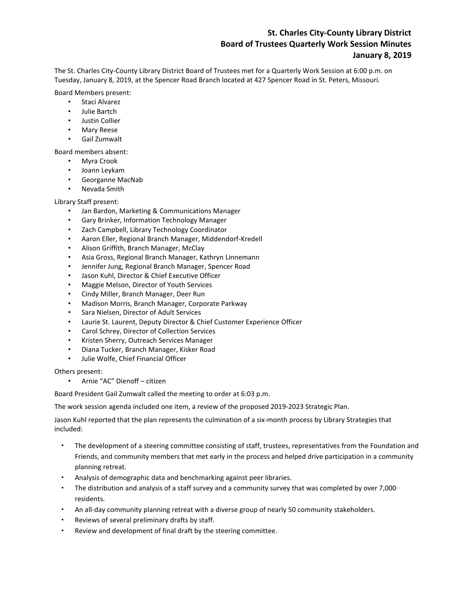## **St. Charles City-County Library District Board of Trustees Quarterly Work Session Minutes January 8, 2019**

The St. Charles City-County Library District Board of Trustees met for a Quarterly Work Session at 6:00 p.m. on Tuesday, January 8, 2019, at the Spencer Road Branch located at 427 Spencer Road in St. Peters, Missouri.

Board Members present:

- Staci Alvarez
- Julie Bartch
- Justin Collier
- Mary Reese
- Gail Zumwalt

Board members absent:

- Myra Crook
- Joann Leykam
- Georganne MacNab
- Nevada Smith

## Library Staff present:

- Jan Bardon, Marketing & Communications Manager
- Gary Brinker, Information Technology Manager
- Zach Campbell, Library Technology Coordinator
- Aaron Eller, Regional Branch Manager, Middendorf-Kredell
- Alison Griffith, Branch Manager, McClay
- Asia Gross, Regional Branch Manager, Kathryn Linnemann
- Jennifer Jung, Regional Branch Manager, Spencer Road
- Jason Kuhl, Director & Chief Executive Officer
- Maggie Melson, Director of Youth Services
- Cindy Miller, Branch Manager, Deer Run
- Madison Morris, Branch Manager, Corporate Parkway
- Sara Nielsen, Director of Adult Services
- Laurie St. Laurent, Deputy Director & Chief Customer Experience Officer
- Carol Schrey, Director of Collection Services
- Kristen Sherry, Outreach Services Manager
- Diana Tucker, Branch Manager, Kisker Road
- Julie Wolfe, Chief Financial Officer

Others present:

• Arnie "AC" Dienoff – citizen

Board President Gail Zumwalt called the meeting to order at 6:03 p.m.

The work session agenda included one item, a review of the proposed 2019-2023 Strategic Plan.

Jason Kuhl reported that the plan represents the culmination of a six-month process by Library Strategies that included:

- The development of a steering committee consisting of staff, trustees, representatives from the Foundation and Friends, and community members that met early in the process and helped drive participation in a community planning retreat.
- Analysis of demographic data and benchmarking against peer libraries.
- The distribution and analysis of a staff survey and a community survey that was completed by over 7,000 residents.
- An all-day community planning retreat with a diverse group of nearly 50 community stakeholders.
- Reviews of several preliminary drafts by staff.
- Review and development of final draft by the steering committee.